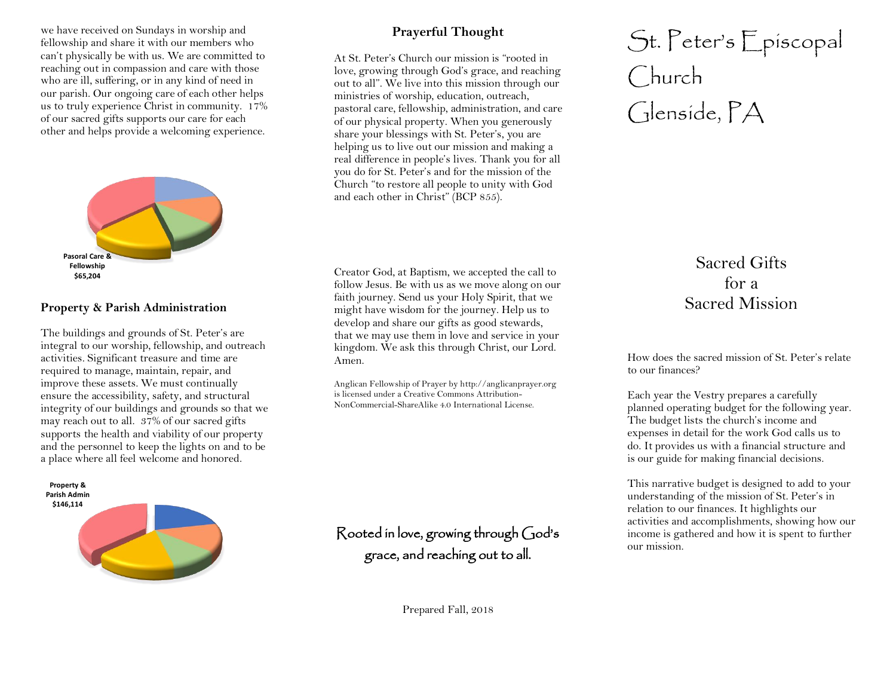we have received on Sundays in worship and fellowship and share it with our members who can't physically be with us. We are committed to reaching out in compassion and care with those who are ill, suffering, or in any kind of need in our parish. Our ongoing care of each other helps us to truly experience Christ in community. 17% of our sacred gifts supports our care for each other and helps provide a welcoming experience.



### **Property & Parish Administration**

The buildings and grounds of St. Peter's are integral to our worship, fellowship, and outreach activities. Significant treasure and time are required to manage, maintain, repair, and improve these assets. We must continually ensure the accessibility, safety, and structural integrity of our buildings and grounds so that we may reach out to all. 37% of our sacred gifts supports the health and viability of our property and the personnel to keep the lights on and to be a place where all feel welcome and honored.



## **Prayerful Thought**

At St. Peter's Church our mission is "rooted in love, growing through God's grace, and reaching out to all". We live into this mission through our ministries of worship, education, outreach, pastoral care, fellowship, administration, and care of our physical property. When you generously share your blessings with St. Peter's, you are helping us to live out our mission and making a real difference in people's lives. Thank you for all you do for St. Peter's and for the mission of the Church "to restore all people to unity with God and each other in Christ" (BCP 855).

Creator God, at Baptism, we accepted the call to follow Jesus. Be with us as we move along on our faith journey. Send us your Holy Spirit, that we might have wisdom for the journey. Help us to develop and share our gifts as good stewards, that we may use them in love and service in your kingdom. We ask this through Christ, our Lord. Amen.

Anglican Fellowship of Prayer by http://anglicanprayer.org is licensed under a Creative Commons Attribution-NonCommercial-ShareAlike 4.0 International License.

Rooted in love, growing through God's grace, and reaching out to all.

# St. Peter's Episcopal Church Glenside, PA

## Sacred Gifts for a Sacred Mission

How does the sacred mission of St. Peter's relate to our finances?

Each year the Vestry prepares a carefully planned operating budget for the following year. The budget lists the church's income and expenses in detail for the work God calls us to do. It provides us with a financial structure and is our guide for making financial decisions.

This narrative budget is designed to add to your understanding of the mission of St. Peter's in relation to our finances. It highlights our activities and accomplishments, showing how our income is gathered and how it is spent to further our mission.

Prepared Fall, 2018